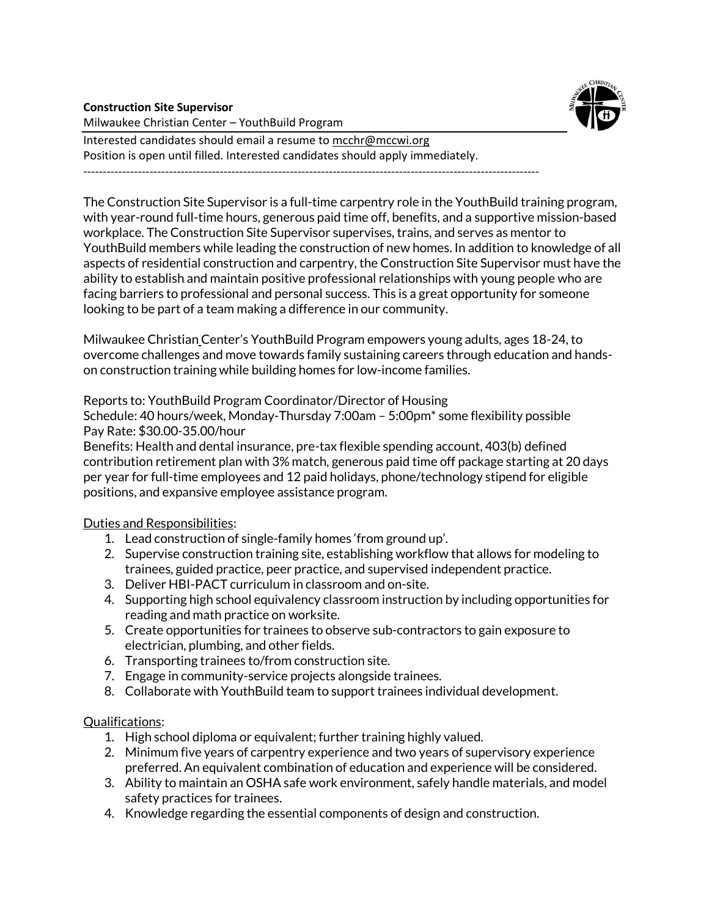

### **Construction Site Supervisor**

Milwaukee Christian Center – YouthBuild Program

Interested candidates should email a resume to [mcchr@mccwi.org](mailto:mcchr@mccwi.org) Position is open until filled. Interested candidates should apply immediately.

---------------------------------------------------------------------------------------------------------------------

The Construction Site Supervisor is a full-time carpentry role in the YouthBuild training program, with year-round full-time hours, generous paid time off, benefits, and a supportive mission-based workplace. The Construction Site Supervisor supervises, trains, and serves as mentor to YouthBuild members while leading the construction of new homes. In addition to knowledge of all aspects of residential construction and carpentry, the Construction Site Supervisor must have the ability to establish and maintain positive professional relationships with young people who are facing barriers to professional and personal success. This is a great opportunity for someone looking to be part of a team making a difference in our community.

Milwaukee Christian Center's YouthBuild Program empowers young adults, ages 18-24, to overcome challenges and move towards family sustaining careers through education and handson construction training while building homes for low-income families.

Reports to: YouthBuild Program Coordinator/Director of Housing

Schedule: 40 hours/week, Monday-Thursday 7:00am – 5:00pm\* some flexibility possible Pay Rate: \$30.00-35.00/hour

Benefits: Health and dental insurance, pre-tax flexible spending account, 403(b) defined contribution retirement plan with 3% match, generous paid time off package starting at 20 days per year for full-time employees and 12 paid holidays, phone/technology stipend for eligible positions, and expansive employee assistance program.

## Duties and Responsibilities:

- 1. Lead construction of single-family homes 'from ground up'.
- 2. Supervise construction training site, establishing workflow that allows for modeling to trainees, guided practice, peer practice, and supervised independent practice.
- 3. Deliver HBI-PACT curriculum in classroom and on-site.
- 4. Supporting high school equivalency classroom instruction by including opportunities for reading and math practice on worksite.
- 5. Create opportunities for trainees to observe sub-contractors to gain exposure to electrician, plumbing, and other fields.
- 6. Transporting trainees to/from construction site.
- 7. Engage in community-service projects alongside trainees.
- 8. Collaborate with YouthBuild team to support trainees individual development.

## Qualifications:

- 1. High school diploma or equivalent; further training highly valued.
- 2. Minimum five years of carpentry experience and two years of supervisory experience preferred. An equivalent combination of education and experience will be considered.
- 3. Ability to maintain an OSHA safe work environment, safely handle materials, and model safety practices for trainees.
- 4. Knowledge regarding the essential components of design and construction.